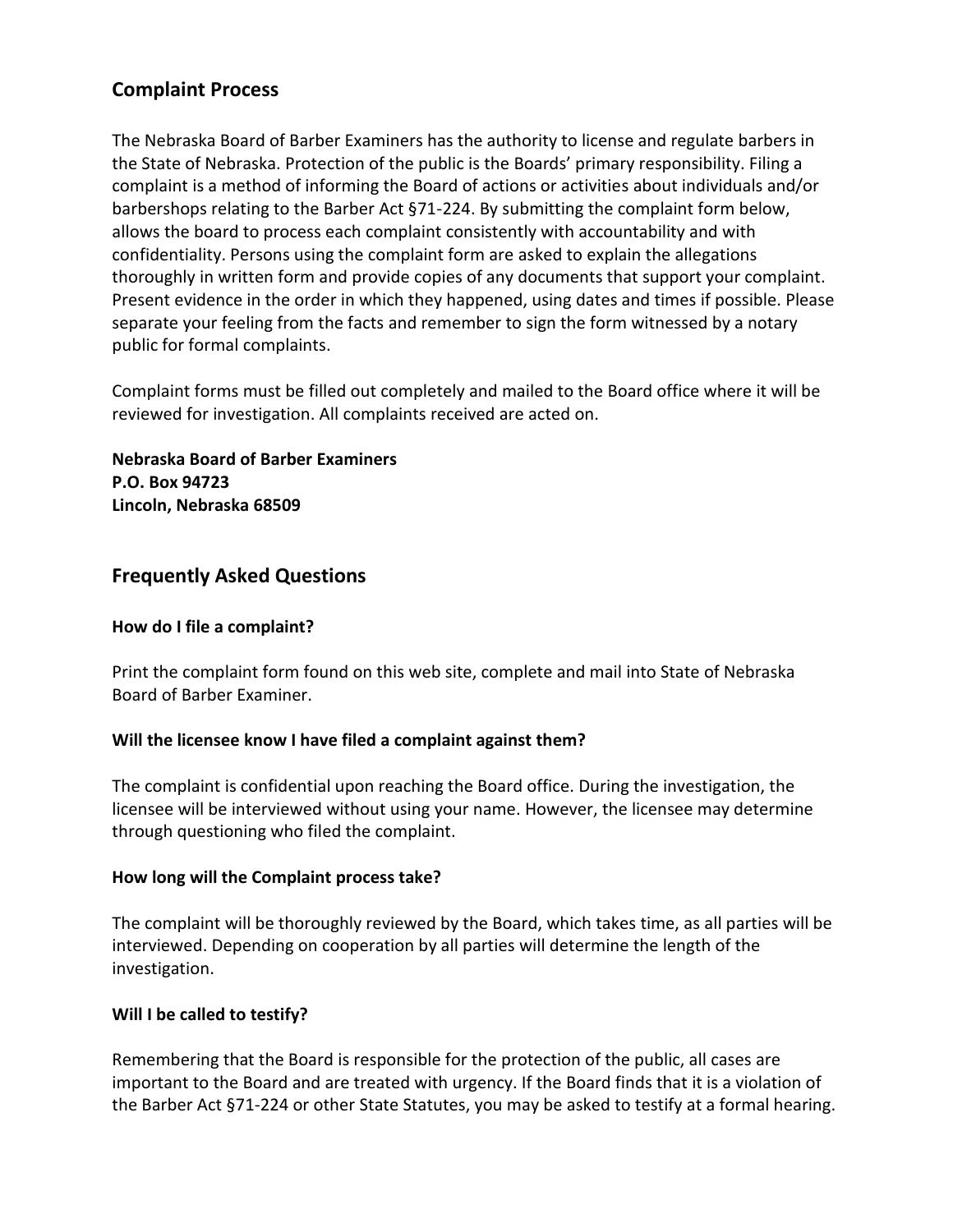# **Complaint Process**

The Nebraska Board of Barber Examiners has the authority to license and regulate barbers in the State of Nebraska. Protection of the public is the Boards' primary responsibility. Filing a complaint is a method of informing the Board of actions or activities about individuals and/or barbershops relating to the Barber Act §71-224. By submitting the complaint form below, allows the board to process each complaint consistently with accountability and with confidentiality. Persons using the complaint form are asked to explain the allegations thoroughly in written form and provide copies of any documents that support your complaint. Present evidence in the order in which they happened, using dates and times if possible. Please separate your feeling from the facts and remember to sign the form witnessed by a notary public for formal complaints.

Complaint forms must be filled out completely and mailed to the Board office where it will be reviewed for investigation. All complaints received are acted on.

**Nebraska Board of Barber Examiners P.O. Box 94723 Lincoln, Nebraska 68509**

## **Frequently Asked Questions**

### **How do I file a complaint?**

Print the complaint form found on this web site, complete and mail into State of Nebraska Board of Barber Examiner.

### **Will the licensee know I have filed a complaint against them?**

The complaint is confidential upon reaching the Board office. During the investigation, the licensee will be interviewed without using your name. However, the licensee may determine through questioning who filed the complaint.

### **How long will the Complaint process take?**

The complaint will be thoroughly reviewed by the Board, which takes time, as all parties will be interviewed. Depending on cooperation by all parties will determine the length of the investigation.

## **Will I be called to testify?**

Remembering that the Board is responsible for the protection of the public, all cases are important to the Board and are treated with urgency. If the Board finds that it is a violation of the Barber Act §71-224 or other State Statutes, you may be asked to testify at a formal hearing.